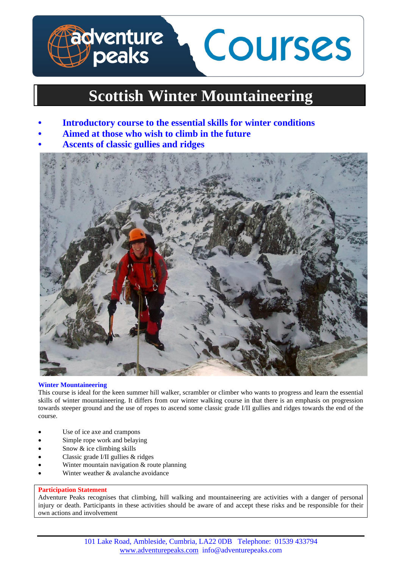# **dventure<br>/peaks** Courses

# **Scottish Winter Mountaineering**

- **• Introductory course to the essential skills for winter conditions**
- **• Aimed at those who wish to climb in the future**
- **• Ascents of classic gullies and ridges**



# **Winter Mountaineering**

This course is ideal for the keen summer hill walker, scrambler or climber who wants to progress and learn the essential skills of winter mountaineering. It differs from our winter walking course in that there is an emphasis on progression towards steeper ground and the use of ropes to ascend some classic grade I/II gullies and ridges towards the end of the course.

- Use of ice axe and crampons
- Simple rope work and belaying
- Snow & ice climbing skills
- Classic grade I/II gullies & ridges
- Winter mountain navigation & route planning
- Winter weather & avalanche avoidance

# **Participation Statement**

Adventure Peaks recognises that climbing, hill walking and mountaineering are activities with a danger of personal injury or death. Participants in these activities should be aware of and accept these risks and be responsible for their own actions and involvement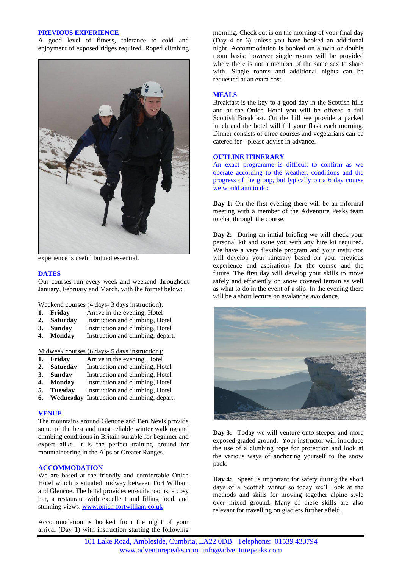#### **PREVIOUS EXPERIENCE**

A good level of fitness, tolerance to cold and enjoyment of exposed ridges required. Roped climbing



experience is useful but not essential.

#### **DATES**

Our courses run every week and weekend throughout January, February and March, with the format below:

Weekend courses (4 days- 3 days instruction):

- **1. Friday** Arrive in the evening, Hotel
- **2. Saturday** Instruction and climbing, Hotel
- **3. Sunday** Instruction and climbing, Hotel<br>**4. Monday** Instruction and climbing, depart
- Instruction and climbing, depart.

Midweek courses (6 days- 5 days instruction):<br> **1.** Fridav Arrive in the evening, Hotel

- **1. Friday** Arrive in the evening, Hotel<br>**2. Saturday** Instruction and climbing, Ho
- 2. **Saturday** Instruction and climbing, Hotel<br>3. **Sunday** Instruction and climbing, Hotel
- **3. Sunday** Instruction and climbing, Hotel<br>**4. Monday** Instruction and climbing, Hotel
- Instruction and climbing, Hotel
- **5. Tuesday** Instruction and climbing, Hotel
- **6. Wednesday** Instruction and climbing, depart.

# **VENUE**

The mountains around Glencoe and Ben Nevis provide some of the best and most reliable winter walking and climbing conditions in Britain suitable for beginner and expert alike. It is the perfect training ground for mountaineering in the Alps or Greater Ranges.

# **ACCOMMODATION**

We are based at the friendly and comfortable Onich Hotel which is situated midway between Fort William and Glencoe. The hotel provides en-suite rooms, a cosy bar, a restaurant with excellent and filling food, and stunning views. [www.onich-fortwilliam.co.uk](http://www.onich-fortwilliam.co.uk/)

Accommodation is booked from the night of your arrival (Day 1) with instruction starting the following

morning. Check out is on the morning of your final day (Day 4 or 6) unless you have booked an additional night. Accommodation is booked on a twin or double room basis; however single rooms will be provided where there is not a member of the same sex to share with. Single rooms and additional nights can be requested at an extra cost.

## **MEALS**

Breakfast is the key to a good day in the Scottish hills and at the Onich Hotel you will be offered a full Scottish Breakfast. On the hill we provide a packed lunch and the hotel will fill your flask each morning. Dinner consists of three courses and vegetarians can be catered for - please advise in advance.

#### **OUTLINE ITINERARY**

An exact programme is difficult to confirm as we operate according to the weather, conditions and the progress of the group, but typically on a 6 day course we would aim to do:

**Day 1:** On the first evening there will be an informal meeting with a member of the Adventure Peaks team to chat through the course.

**Day 2:** During an initial briefing we will check your personal kit and issue you with any hire kit required. We have a very flexible program and your instructor will develop your itinerary based on your previous experience and aspirations for the course and the future. The first day will develop your skills to move safely and efficiently on snow covered terrain as well as what to do in the event of a slip. In the evening there will be a short lecture on avalanche avoidance.



**Day 3:** Today we will venture onto steeper and more exposed graded ground. Your instructor will introduce the use of a climbing rope for protection and look at the various ways of anchoring yourself to the snow pack.

**Day 4:** Speed is important for safety during the short days of a Scottish winter so today we'll look at the methods and skills for moving together alpine style over mixed ground. Many of these skills are also relevant for travelling on glaciers further afield.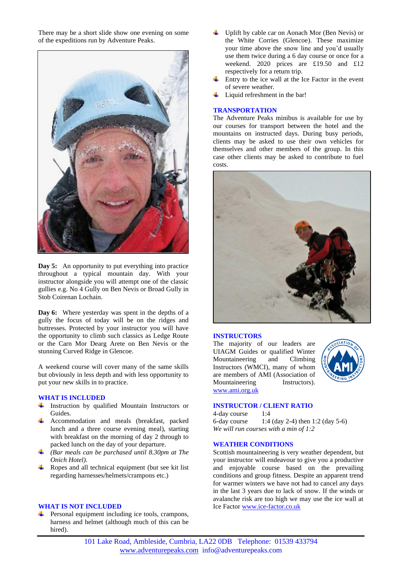There may be a short slide show one evening on some of the expeditions run by Adventure Peaks.



Day 5: An opportunity to put everything into practice throughout a typical mountain day. With your instructor alongside you will attempt one of the classic gullies e.g. No 4 Gully on Ben Nevis or Broad Gully in Stob Coirenan Lochain.

**Day 6:** Where yesterday was spent in the depths of a gully the focus of today will be on the ridges and buttresses. Protected by your instructor you will have the opportunity to climb such classics as Ledge Route or the Carn Mor Dearg Arete on Ben Nevis or the stunning Curved Ridge in Glencoe.

A weekend course will cover many of the same skills but obviously in less depth and with less opportunity to put your new skills in to practice.

#### **WHAT IS INCLUDED**

- Instruction by qualified Mountain Instructors or Guides.
- Accommodation and meals (breakfast, packed lunch and a three course evening meal), starting with breakfast on the morning of day 2 through to packed lunch on the day of your departure.
- *(Bar meals can be purchased until 8.30pm at The Onich Hotel).*
- Ropes and all technical equipment (but see kit list regarding harnesses/helmets/crampons etc.)

### **WHAT IS NOT INCLUDED**

 $\overline{\phantom{a}}$  Personal equipment including ice tools, crampons, harness and helmet (although much of this can be hired).

- Uplift by cable car on Aonach Mor (Ben Nevis) or the White Corries (Glencoe). These maximize your time above the snow line and you'd usually use them twice during a 6 day course or once for a weekend. 2020 prices are £19.50 and £12 respectively for a return trip.
- Entry to the ice wall at the Ice Factor in the event of severe weather.
- Liquid refreshment in the bar!

#### **TRANSPORTATION**

The Adventure Peaks minibus is available for use by our courses for transport between the hotel and the mountains on instructed days. During busy periods, clients may be asked to use their own vehicles for themselves and other members of the group. In this case other clients may be asked to contribute to fuel costs.



#### **INSTRUCTORS**

The majority of our leaders are UIAGM Guides or qualified Winter Mountaineering and Climbing Instructors (WMCI), many of whom are members of AMI (Association of Mountaineering Instructors). [www.ami.org.uk](http://www.ami.org.uk/)



# **INSTRUCTOR / CLIENT RATIO**

4-day course 1:4 6-day course 1:4 (day 2-4) then 1:2 (day 5-6) *We will run courses with a min of 1:2*

#### **WEATHER CONDITIONS**

Scottish mountaineering is very weather dependent, but your instructor will endeavour to give you a productive and enjoyable course based on the prevailing conditions and group fitness. Despite an apparent trend for warmer winters we have not had to cancel any days in the last 3 years due to lack of snow. If the winds or avalanche risk are too high we may use the ice wall at Ice Factor [www.ice-factor.co.uk](http://www.ice-factor.co.uk/)